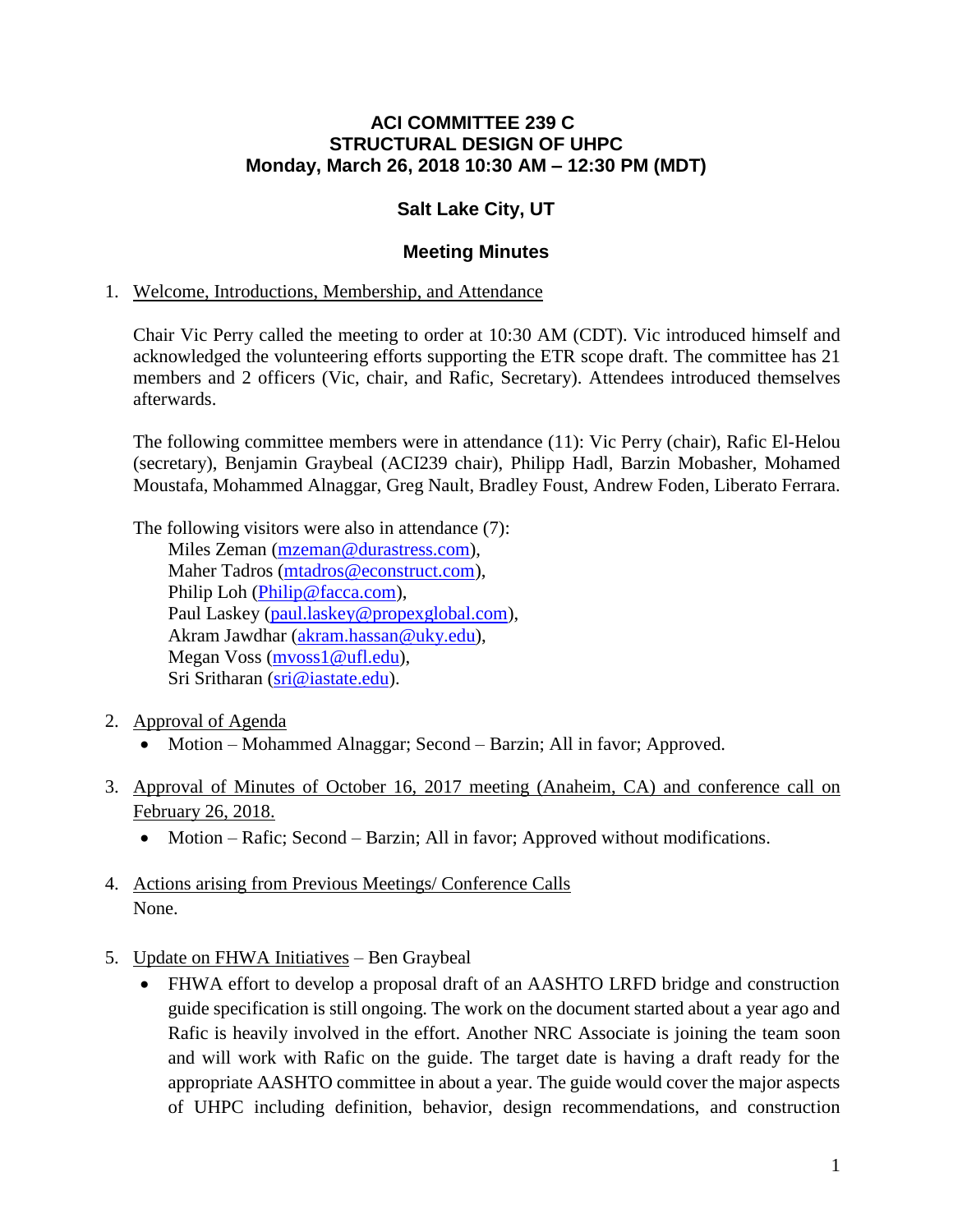### **ACI COMMITTEE 239 C STRUCTURAL DESIGN OF UHPC Monday, March 26, 2018 10:30 AM – 12:30 PM (MDT)**

## **Salt Lake City, UT**

### **Meeting Minutes**

#### 1. Welcome, Introductions, Membership, and Attendance

Chair Vic Perry called the meeting to order at 10:30 AM (CDT). Vic introduced himself and acknowledged the volunteering efforts supporting the ETR scope draft. The committee has 21 members and 2 officers (Vic, chair, and Rafic, Secretary). Attendees introduced themselves afterwards.

The following committee members were in attendance (11): Vic Perry (chair), Rafic El-Helou (secretary), Benjamin Graybeal (ACI239 chair), Philipp Hadl, Barzin Mobasher, Mohamed Moustafa, Mohammed Alnaggar, Greg Nault, Bradley Foust, Andrew Foden, Liberato Ferrara.

The following visitors were also in attendance (7): Miles Zeman [\(mzeman@durastress.com\)](mailto:mzeman@durastress.com), Maher Tadros [\(mtadros@econstruct.com\)](mailto:mtadros@econstruct.com), Philip Loh [\(Philip@facca.com\)](mailto:Philip@facca.com), Paul Laskey [\(paul.laskey@propexglobal.com\)](mailto:paul.laskey@propexglobal.com), Akram Jawdhar [\(akram.hassan@uky.edu\)](mailto:akram.hassan@uky.edu), Megan Voss [\(mvoss1@ufl.edu\)](mailto:mvoss1@ufl.edu), Sri Sritharan [\(sri@iastate.edu\)](mailto:sri@iastate.edu).

- 2. Approval of Agenda
	- Motion Mohammed Alnaggar; Second Barzin; All in favor; Approved.
- 3. Approval of Minutes of October 16, 2017 meeting (Anaheim, CA) and conference call on February 26, 2018.
	- Motion Rafic; Second Barzin; All in favor; Approved without modifications.
- 4. Actions arising from Previous Meetings/ Conference Calls None.
- 5. Update on FHWA Initiatives Ben Graybeal
	- FHWA effort to develop a proposal draft of an AASHTO LRFD bridge and construction guide specification is still ongoing. The work on the document started about a year ago and Rafic is heavily involved in the effort. Another NRC Associate is joining the team soon and will work with Rafic on the guide. The target date is having a draft ready for the appropriate AASHTO committee in about a year. The guide would cover the major aspects of UHPC including definition, behavior, design recommendations, and construction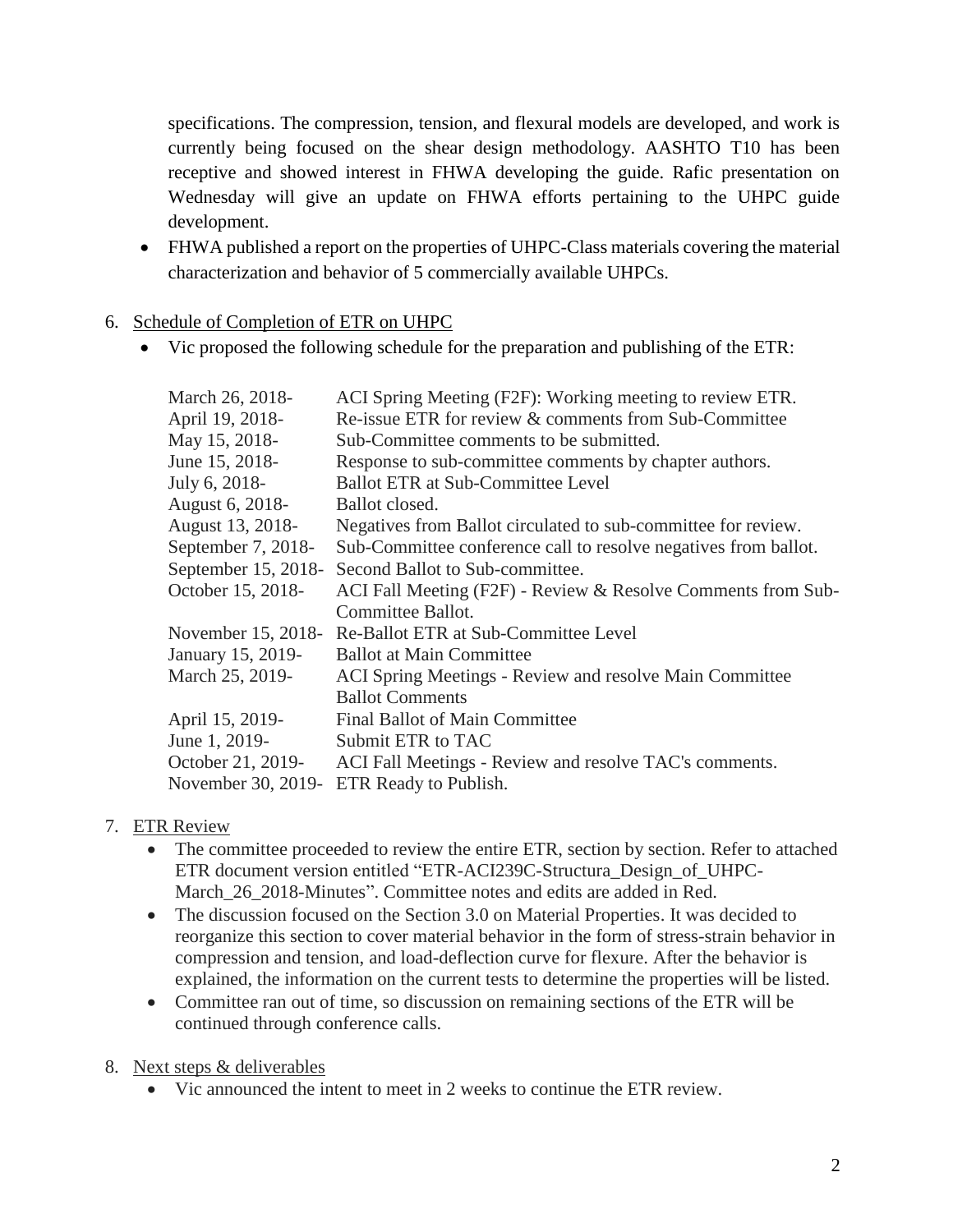specifications. The compression, tension, and flexural models are developed, and work is currently being focused on the shear design methodology. AASHTO T10 has been receptive and showed interest in FHWA developing the guide. Rafic presentation on Wednesday will give an update on FHWA efforts pertaining to the UHPC guide development.

 FHWA published a report on the properties of UHPC-Class materials covering the material characterization and behavior of 5 commercially available UHPCs.

## 6. Schedule of Completion of ETR on UHPC

Vic proposed the following schedule for the preparation and publishing of the ETR:

| ACI Spring Meeting (F2F): Working meeting to review ETR.        |
|-----------------------------------------------------------------|
| Re-issue ETR for review & comments from Sub-Committee           |
| Sub-Committee comments to be submitted.                         |
| Response to sub-committee comments by chapter authors.          |
| <b>Ballot ETR at Sub-Committee Level</b>                        |
| Ballot closed.                                                  |
| Negatives from Ballot circulated to sub-committee for review.   |
| Sub-Committee conference call to resolve negatives from ballot. |
| Second Ballot to Sub-committee.                                 |
| ACI Fall Meeting (F2F) - Review & Resolve Comments from Sub-    |
| Committee Ballot.                                               |
| Re-Ballot ETR at Sub-Committee Level                            |
| <b>Ballot at Main Committee</b>                                 |
| ACI Spring Meetings - Review and resolve Main Committee         |
| <b>Ballot Comments</b>                                          |
| <b>Final Ballot of Main Committee</b>                           |
| Submit ETR to TAC                                               |
| ACI Fall Meetings - Review and resolve TAC's comments.          |
| ETR Ready to Publish.                                           |
|                                                                 |

# 7. ETR Review

- The committee proceeded to review the entire ETR, section by section. Refer to attached ETR document version entitled "ETR-ACI239C-Structura\_Design\_of\_UHPC-March 26 2018-Minutes". Committee notes and edits are added in Red.
- The discussion focused on the Section 3.0 on Material Properties. It was decided to reorganize this section to cover material behavior in the form of stress-strain behavior in compression and tension, and load-deflection curve for flexure. After the behavior is explained, the information on the current tests to determine the properties will be listed.
- Committee ran out of time, so discussion on remaining sections of the ETR will be continued through conference calls.
- 8. Next steps & deliverables
	- Vic announced the intent to meet in 2 weeks to continue the ETR review.